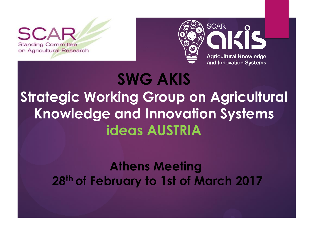**Standing Committee** on Agricultural Research



# **SWG AKIS Strategic Working Group on Agricultural Knowledge and Innovation Systems ideas AUSTRIA**

#### **Athens Meeting 28th of February to 1st of March 2017**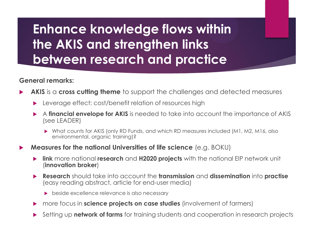#### **General remarks:**

- **AKIS** is a **cross cutting theme** to support the challenges and detected measures
	- Leverage effect: cost/benefit relation of resources high
	- A **financial envelope for AKIS** is needed to take into account the importance of AKIS (see LEADER)
		- ▶ What counts for AKIS (only RD Funds, and which RD measures included (M1, M2, M16, also environmental, organic training)?
- **Measures for the national Universities of life science** (e.g. BOKU)
	- **link** more national **research** and **H2020 projects** with the national EIP network unit (**innovation broker**)
	- **Research** should take into account the **transmission** and **dissemination** into **practise** (easy reading abstract, article for end-user media)
		- beside excellence relevance is also necessary
	- more focus in **science projects on case studies** (involvement of farmers)
	- Setting up **network of farms** for training students and cooperation in research projects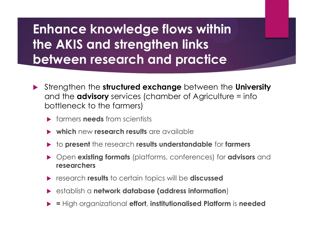- Strengthen the **structured exchange** between the **University** and the **advisory** services (chamber of Agriculture = info bottleneck to the farmers)
	- **Farmers needs** from scientists
	- $\triangleright$  which new research results are available
	- to **present** the research **results understandable** for **farmers**
	- Open **existing formats** (platforms, conferences) for **advisors** and **researchers**
	- research **results** to certain topics will be **discussed**
	- establish a **network database (address information**)
	- **=** High organizational **effort**, **institutionalised Platform** is **needed**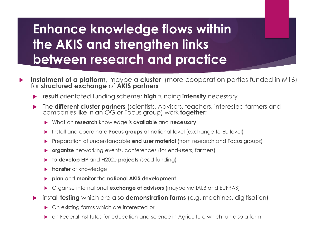- **Instalment of a platform**, maybe a **cluster** (more cooperation parties funded in M16) for **structured exchange** of **AKIS partners**
	- **result** orientated funding scheme; **high** funding **intensity** necessary
	- The **different cluster partners** (scientists, Advisors, teachers, interested farmers and companies like in an OG or Focus group) work **together:**
		- What on **research** knowledge is **available** and **necessary**
		- Install and coordinate **Focus groups** at national level (exchange to EU level)
		- Preparation of understandable **end user material** (from research and Focus groups)
		- **organize** networking events, conferences (for end-users, farmers)
		- to **develop** EIP and H2020 **projects** (seed funding)
		- **transfer** of knowledge
		- **plan** and **monitor** the **national AKIS development**
		- Organise international **exchange of advisors** (maybe via IALB and EUFRAS)
	- install **testing** which are also **demonstration farms** (e.g. machines, digitisation)
		- On existing farms which are interested or
		- on Federal institutes for education and science in Agriculture which run also a farm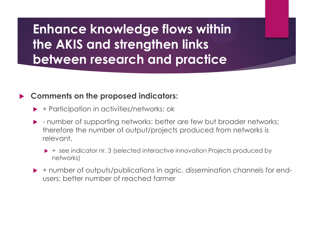#### **Comments on the proposed indicators:**

- ▶ + Participation in activities/networks: ok
- ▶ number of supporting networks: better are few but broader networks; therefore the number of output/projects produced from networks is relevant,
	- ▶ + see indicator nr. 3 (selected interactive innovation Projects produced by networks)
- ► + number of outputs/publications in agric. dissemination channels for endusers: better number of reached farmer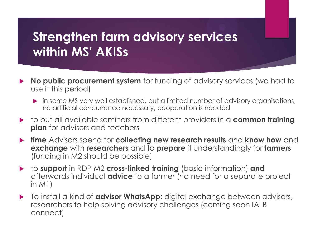## **Strengthen farm advisory services within MS' AKISs**

- **No public procurement system** for funding of advisory services (we had to use it this period)
	- in some MS very well established, but a limited number of advisory organisations, no artificial concurrence necessary, cooperation is needed
- ▶ to put all available seminars from different providers in a **common training plan** for advisors and teachers
- **time** Advisors spend for **collecting new research results** and **know how** and **exchange** with **researchers** and to **prepare** it understandingly for **farmers** (funding in M2 should be possible)
- to **support** in RDP M2 **cross-linked training** (basic information) **and** afterwards individual **advice** to a farmer (no need for a separate project in M1)
- To install a kind of **advisor WhatsApp**: digital exchange between advisors, researchers to help solving advisory challenges (coming soon IALB connect)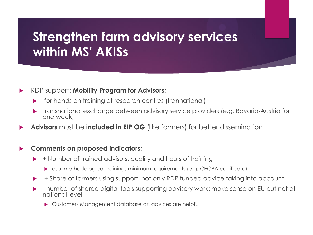### **Strengthen farm advisory services within MS' AKISs**

#### RDP support: **Mobility Program for Advisors:**

- for hands on training at research centres (trannational)
- Transnational exchange between advisory service providers (e.g. Bavaria-Austria for one week)
- **Advisors** must be **included in EIP OG** (like farmers) for better dissemination

#### **Comments on proposed indicators:**

- + Number of trained advisors: quality and hours of training
	- ▶ esp. methodological training, minimum requirements (e.g. CECRA certificate)
- + Share of farmers using support: not only RDP funded advice taking into account
- number of shared digital tools supporting advisory work: make sense on EU but not at national level
	- Customers Management database on advices are helpful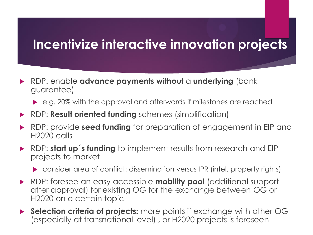### **Incentivize interactive innovation projects**

- RDP: enable **advance payments without** a **underlying** (bank guarantee)
	- e.g. 20% with the approval and afterwards if milestones are reached
- RDP: **Result oriented funding** schemes (simplification)
- RDP: provide **seed funding** for preparation of engagement in EIP and H2020 calls
- RDP: **start up´s funding** to implement results from research and EIP projects to market
	- consider area of conflict: dissemination versus IPR (intel. property rights)
- RDP: foresee an easy accessible **mobility pool** (additional support after approval) for existing OG for the exchange between OG or H2020 on a certain topic
- **Selection criteria of projects:** more points if exchange with other OG (especially at transnational level) , or H2020 projects is foreseen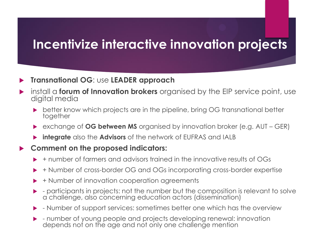#### **Incentivize interactive innovation projects**

#### **Transnational OG**: use **LEADER approach**

- install a **forum of Innovation brokers** organised by the EIP service point, use digital media
	- ▶ better know which projects are in the pipeline, bring OG transnational better together
	- exchange of **OG between MS** organised by innovation broker (e.g. AUT GER)
	- **integrate** also the **Advisors** of the network of EUFRAS and IALB
- **Comment on the proposed indicators:**
	- + number of farmers and advisors trained in the innovative results of OGs
	- + Number of cross-border OG and OGs incorporating cross-border expertise
	- + Number of innovation cooperation agreements
	- participants in projects: not the number but the composition is relevant to solve a challenge, also concerning education actors (dissemination)
	- Number of support services: sometimes better one which has the overview
	- number of young people and projects developing renewal: innovation depends not on the age and not only one challenge mention